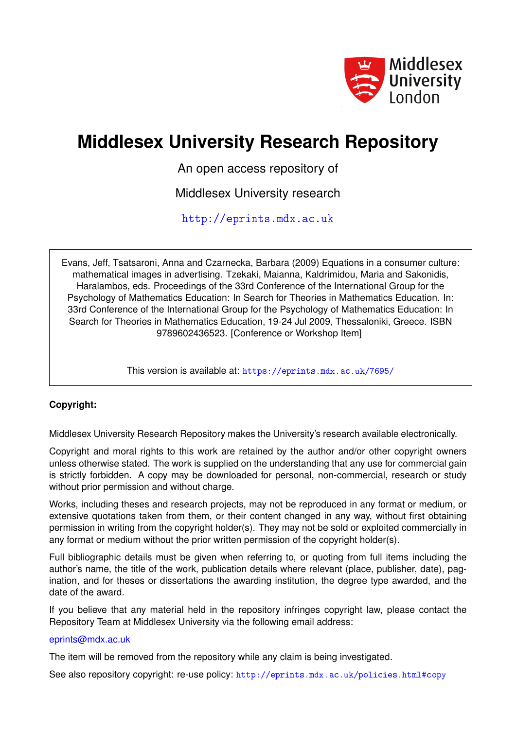

# **Middlesex University Research Repository**

An open access repository of

Middlesex University research

<http://eprints.mdx.ac.uk>

Evans, Jeff, Tsatsaroni, Anna and Czarnecka, Barbara (2009) Equations in a consumer culture: mathematical images in advertising. Tzekaki, Maianna, Kaldrimidou, Maria and Sakonidis, Haralambos, eds. Proceedings of the 33rd Conference of the International Group for the Psychology of Mathematics Education: In Search for Theories in Mathematics Education. In: 33rd Conference of the International Group for the Psychology of Mathematics Education: In Search for Theories in Mathematics Education, 19-24 Jul 2009, Thessaloniki, Greece. ISBN 9789602436523. [Conference or Workshop Item]

This version is available at: <https://eprints.mdx.ac.uk/7695/>

#### **Copyright:**

Middlesex University Research Repository makes the University's research available electronically.

Copyright and moral rights to this work are retained by the author and/or other copyright owners unless otherwise stated. The work is supplied on the understanding that any use for commercial gain is strictly forbidden. A copy may be downloaded for personal, non-commercial, research or study without prior permission and without charge.

Works, including theses and research projects, may not be reproduced in any format or medium, or extensive quotations taken from them, or their content changed in any way, without first obtaining permission in writing from the copyright holder(s). They may not be sold or exploited commercially in any format or medium without the prior written permission of the copyright holder(s).

Full bibliographic details must be given when referring to, or quoting from full items including the author's name, the title of the work, publication details where relevant (place, publisher, date), pagination, and for theses or dissertations the awarding institution, the degree type awarded, and the date of the award.

If you believe that any material held in the repository infringes copyright law, please contact the Repository Team at Middlesex University via the following email address:

#### [eprints@mdx.ac.uk](mailto:eprints@mdx.ac.uk)

The item will be removed from the repository while any claim is being investigated.

See also repository copyright: re-use policy: <http://eprints.mdx.ac.uk/policies.html#copy>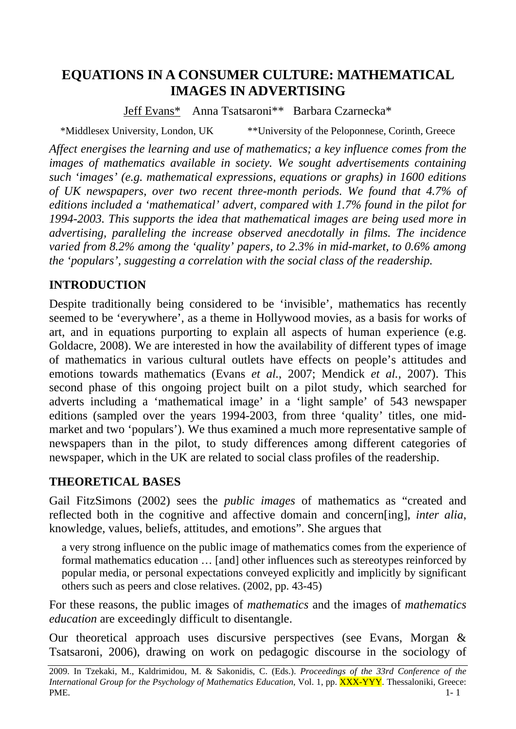# **EQUATIONS IN A CONSUMER CULTURE: MATHEMATICAL IMAGES IN ADVERTISING**

Jeff Evans\* Anna Tsatsaroni\*\* Barbara Czarnecka\*

\*Middlesex University, London, UK \*\*University of the Peloponnese, Corinth, Greece

*Affect energises the learning and use of mathematics; a key influence comes from the images of mathematics available in society. We sought advertisements containing such 'images' (e.g. mathematical expressions, equations or graphs) in 1600 editions of UK newspapers, over two recent three-month periods. We found that 4.7% of editions included a 'mathematical' advert, compared with 1.7% found in the pilot for 1994-2003. This supports the idea that mathematical images are being used more in advertising, paralleling the increase observed anecdotally in films. The incidence varied from 8.2% among the 'quality' papers, to 2.3% in mid-market, to 0.6% among the 'populars', suggesting a correlation with the social class of the readership.* 

# **INTRODUCTION**

Despite traditionally being considered to be 'invisible', mathematics has recently seemed to be 'everywhere', as a theme in Hollywood movies, as a basis for works of art, and in equations purporting to explain all aspects of human experience (e.g. Goldacre, 2008). We are interested in how the availability of different types of image of mathematics in various cultural outlets have effects on people's attitudes and emotions towards mathematics (Evans *et al.*, 2007; Mendick *et al.,* 2007). This second phase of this ongoing project built on a pilot study, which searched for adverts including a 'mathematical image' in a 'light sample' of 543 newspaper editions (sampled over the years 1994-2003, from three 'quality' titles, one midmarket and two 'populars'). We thus examined a much more representative sample of newspapers than in the pilot, to study differences among different categories of newspaper, which in the UK are related to social class profiles of the readership.

# **THEORETICAL BASES**

Gail FitzSimons (2002) sees the *public images* of mathematics as "created and reflected both in the cognitive and affective domain and concern[ing], *inter alia*, knowledge, values, beliefs, attitudes, and emotions". She argues that

a very strong influence on the public image of mathematics comes from the experience of formal mathematics education … [and] other influences such as stereotypes reinforced by popular media, or personal expectations conveyed explicitly and implicitly by significant others such as peers and close relatives. (2002, pp. 43-45)

For these reasons, the public images of *mathematics* and the images of *mathematics education* are exceedingly difficult to disentangle.

Our theoretical approach uses discursive perspectives (see Evans, Morgan & Tsatsaroni, 2006), drawing on work on pedagogic discourse in the sociology of

2009. In Tzekaki, M., Kaldrimidou, M. & Sakonidis, C. (Eds.). *Proceedings of the 33rd Conference of the International Group for the Psychology of Mathematics Education*, Vol. 1, pp. **XXX-YYY**. Thessaloniki, Greece: PME. 1-1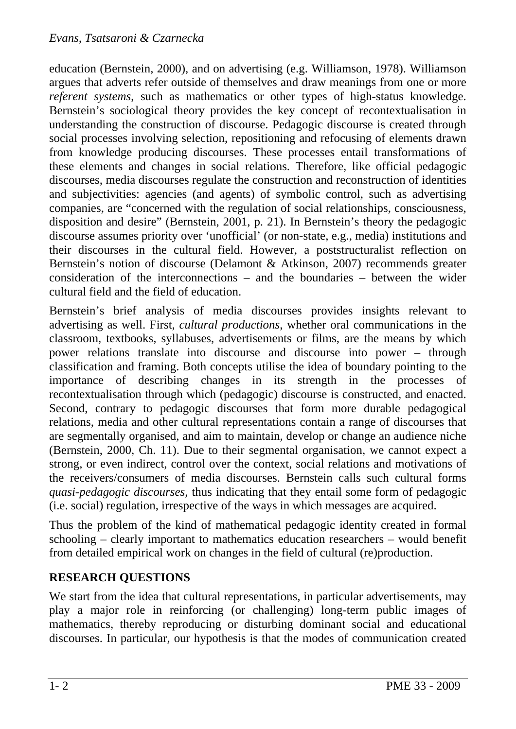education (Bernstein, 2000), and on advertising (e.g. Williamson, 1978). Williamson argues that adverts refer outside of themselves and draw meanings from one or more *referent systems*, such as mathematics or other types of high-status knowledge. Bernstein's sociological theory provides the key concept of recontextualisation in understanding the construction of discourse. Pedagogic discourse is created through social processes involving selection, repositioning and refocusing of elements drawn from knowledge producing discourses. These processes entail transformations of these elements and changes in social relations. Therefore, like official pedagogic discourses, media discourses regulate the construction and reconstruction of identities and subjectivities: agencies (and agents) of symbolic control, such as advertising companies, are "concerned with the regulation of social relationships, consciousness, disposition and desire" (Bernstein, 2001, p. 21). In Bernstein's theory the pedagogic discourse assumes priority over 'unofficial' (or non-state, e.g., media) institutions and their discourses in the cultural field. However, a poststructuralist reflection on Bernstein's notion of discourse (Delamont & Atkinson, 2007) recommends greater consideration of the interconnections – and the boundaries – between the wider cultural field and the field of education.

Bernstein's brief analysis of media discourses provides insights relevant to advertising as well. First, *cultural productions*, whether oral communications in the classroom, textbooks, syllabuses, advertisements or films, are the means by which power relations translate into discourse and discourse into power – through classification and framing. Both concepts utilise the idea of boundary pointing to the importance of describing changes in its strength in the processes of recontextualisation through which (pedagogic) discourse is constructed, and enacted. Second, contrary to pedagogic discourses that form more durable pedagogical relations, media and other cultural representations contain a range of discourses that are segmentally organised, and aim to maintain, develop or change an audience niche (Bernstein, 2000, Ch. 11). Due to their segmental organisation, we cannot expect a strong, or even indirect, control over the context, social relations and motivations of the receivers/consumers of media discourses. Bernstein calls such cultural forms *quasi-pedagogic discourses*, thus indicating that they entail some form of pedagogic (i.e. social) regulation, irrespective of the ways in which messages are acquired.

Thus the problem of the kind of mathematical pedagogic identity created in formal schooling – clearly important to mathematics education researchers – would benefit from detailed empirical work on changes in the field of cultural (re)production.

## **RESEARCH QUESTIONS**

We start from the idea that cultural representations, in particular advertisements, may play a major role in reinforcing (or challenging) long-term public images of mathematics, thereby reproducing or disturbing dominant social and educational discourses. In particular, our hypothesis is that the modes of communication created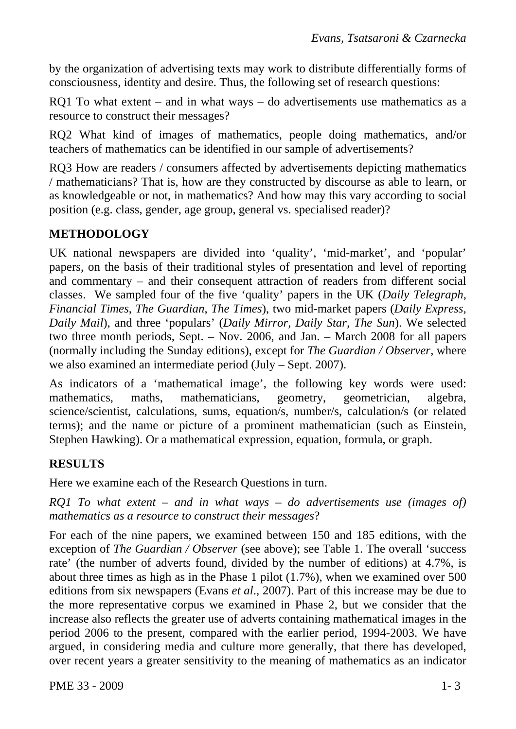by the organization of advertising texts may work to distribute differentially forms of consciousness, identity and desire. Thus, the following set of research questions:

RQ1 To what extent – and in what ways – do advertisements use mathematics as a resource to construct their messages?

RQ2 What kind of images of mathematics, people doing mathematics, and/or teachers of mathematics can be identified in our sample of advertisements?

RQ3 How are readers / consumers affected by advertisements depicting mathematics / mathematicians? That is, how are they constructed by discourse as able to learn, or as knowledgeable or not, in mathematics? And how may this vary according to social position (e.g. class, gender, age group, general vs. specialised reader)?

# **METHODOLOGY**

UK national newspapers are divided into 'quality', 'mid-market', and 'popular' papers, on the basis of their traditional styles of presentation and level of reporting and commentary – and their consequent attraction of readers from different social classes. We sampled four of the five 'quality' papers in the UK (*Daily Telegraph*, *Financial Times*, *The Guardian*, *The Times*), two mid-market papers (*Daily Express, Daily Mail*), and three 'populars' (*Daily Mirror, Daily Star, The Sun*). We selected two three month periods, Sept. – Nov. 2006, and Jan. – March 2008 for all papers (normally including the Sunday editions), except for *The Guardian / Observer*, where we also examined an intermediate period (July – Sept. 2007).

As indicators of a 'mathematical image', the following key words were used: mathematics, maths, mathematicians, geometry, geometrician, algebra, science/scientist, calculations, sums, equation/s, number/s, calculation/s (or related terms); and the name or picture of a prominent mathematician (such as Einstein, Stephen Hawking). Or a mathematical expression, equation, formula, or graph.

# **RESULTS**

Here we examine each of the Research Questions in turn.

*RQ1 To what extent – and in what ways – do advertisements use (images of) mathematics as a resource to construct their messages*?

For each of the nine papers, we examined between 150 and 185 editions, with the exception of *The Guardian / Observer* (see above); see Table 1. The overall 'success rate' (the number of adverts found, divided by the number of editions) at 4.7%, is about three times as high as in the Phase 1 pilot (1.7%), when we examined over 500 editions from six newspapers (Evans *et al*., 2007). Part of this increase may be due to the more representative corpus we examined in Phase 2, but we consider that the increase also reflects the greater use of adverts containing mathematical images in the period 2006 to the present, compared with the earlier period, 1994-2003. We have argued, in considering media and culture more generally, that there has developed, over recent years a greater sensitivity to the meaning of mathematics as an indicator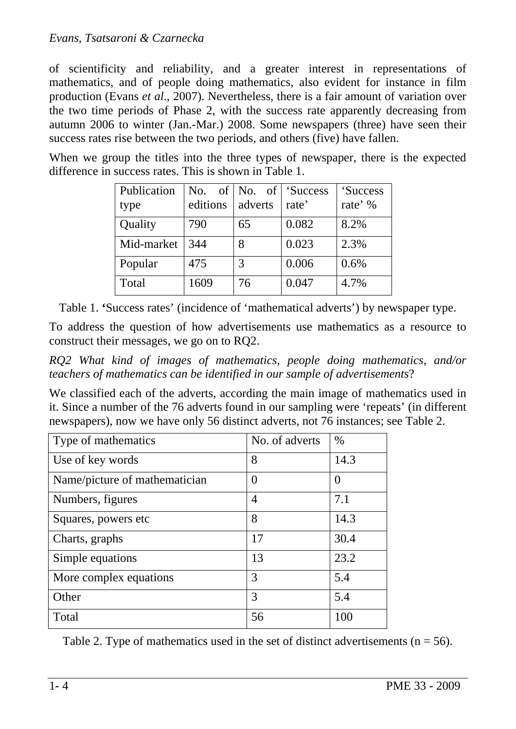#### *Evans, Tsatsaroni & Czarnecka*

of scientificity and reliability, and a greater interest in representations of mathematics, and of people doing mathematics, also evident for instance in film production (Evans *et al*., 2007). Nevertheless, there is a fair amount of variation over the two time periods of Phase 2, with the success rate apparently decreasing from autumn 2006 to winter (Jan.-Mar.) 2008. Some newspapers (three) have seen their success rates rise between the two periods, and others (five) have fallen.

When we group the titles into the three types of newspaper, there is the expected difference in success rates. This is shown in Table 1.

| Publication |          | No. of $\vert$ No. of $\vert$ | 'Success | 'Success |
|-------------|----------|-------------------------------|----------|----------|
| type        | editions | adverts                       | rate'    | rate'%   |
| Quality     | 790      | 65                            | 0.082    | 8.2%     |
| Mid-market  | 344      | 8                             | 0.023    | 2.3%     |
| Popular     | 475      | 3                             | 0.006    | 0.6%     |
| Total       | 1609     | 76                            | 0.047    | 4.7%     |

Table 1. **'**Success rates' (incidence of 'mathematical adverts') by newspaper type.

To address the question of how advertisements use mathematics as a resource to construct their messages, we go on to RQ2.

*RQ2 What kind of images of mathematics, people doing mathematics, and/or teachers of mathematics can be identified in our sample of advertisements*?

We classified each of the adverts, according the main image of mathematics used in it. Since a number of the 76 adverts found in our sampling were 'repeats' (in different newspapers), now we have only 56 distinct adverts, not 76 instances; see Table 2.

| Type of mathematics           | No. of adverts | $\frac{0}{0}$     |
|-------------------------------|----------------|-------------------|
| Use of key words              | 8              | 14.3              |
| Name/picture of mathematician | 0              | $\mathbf{\Omega}$ |
| Numbers, figures              | 4              | 7.1               |
| Squares, powers etc.          | 8              | 14.3              |
| Charts, graphs                | 17             | 30.4              |
| Simple equations              | 13             | 23.2              |
| More complex equations        | 3              | 5.4               |
| Other                         | 3              | 5.4               |
| Total                         | 56             | 100               |

Table 2. Type of mathematics used in the set of distinct advertisements  $(n = 56)$ .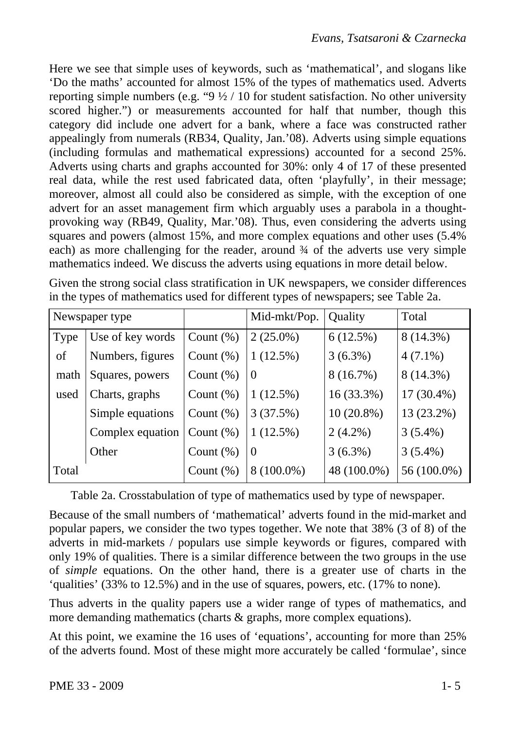Here we see that simple uses of keywords, such as 'mathematical', and slogans like 'Do the maths' accounted for almost 15% of the types of mathematics used. Adverts reporting simple numbers (e.g. "9 ½ / 10 for student satisfaction. No other university scored higher.") or measurements accounted for half that number, though this category did include one advert for a bank, where a face was constructed rather appealingly from numerals (RB34, Quality, Jan.'08). Adverts using simple equations (including formulas and mathematical expressions) accounted for a second 25%. Adverts using charts and graphs accounted for 30%: only 4 of 17 of these presented real data, while the rest used fabricated data, often 'playfully', in their message; moreover, almost all could also be considered as simple, with the exception of one advert for an asset management firm which arguably uses a parabola in a thoughtprovoking way (RB49, Quality, Mar.'08). Thus, even considering the adverts using squares and powers (almost 15%, and more complex equations and other uses  $(5.4\%$ ) each) as more challenging for the reader, around  $\frac{3}{4}$  of the adverts use very simple mathematics indeed. We discuss the adverts using equations in more detail below.

Given the strong social class stratification in UK newspapers, we consider differences in the types of mathematics used for different types of newspapers; see Table 2a.

| Newspaper type |                  |              | Mid-mkt/Pop.     | Quality      | Total        |
|----------------|------------------|--------------|------------------|--------------|--------------|
| Type           | Use of key words | Count $(\%)$ | $2(25.0\%)$      | 6(12.5%)     | 8 (14.3%)    |
| of             | Numbers, figures | Count $(\%)$ | $1(12.5\%)$      | $3(6.3\%)$   | $4(7.1\%)$   |
| math           | Squares, powers  | Count $(\%)$ | $\overline{0}$   | $8(16.7\%)$  | 8 (14.3%)    |
| used           | Charts, graphs   | Count $(\%)$ | $1(12.5\%)$      | $16(33.3\%)$ | $17(30.4\%)$ |
|                | Simple equations | Count $(\%)$ | 3(37.5%)         | $10(20.8\%)$ | 13 (23.2%)   |
|                | Complex equation | Count $(\%)$ | $1(12.5\%)$      | $2(4.2\%)$   | $3(5.4\%)$   |
|                | Other            | Count $(\%)$ | $\boldsymbol{0}$ | $3(6.3\%)$   | $3(5.4\%)$   |
| Total          |                  | Count $(\%)$ | $8(100.0\%)$     | 48 (100.0%)  | 56 (100.0%)  |

Table 2a. Crosstabulation of type of mathematics used by type of newspaper.

Because of the small numbers of 'mathematical' adverts found in the mid-market and popular papers, we consider the two types together. We note that 38% (3 of 8) of the adverts in mid-markets / populars use simple keywords or figures, compared with only 19% of qualities. There is a similar difference between the two groups in the use of *simple* equations. On the other hand, there is a greater use of charts in the 'qualities' (33% to 12.5%) and in the use of squares, powers, etc. (17% to none).

Thus adverts in the quality papers use a wider range of types of mathematics, and more demanding mathematics (charts & graphs, more complex equations).

At this point, we examine the 16 uses of 'equations', accounting for more than 25% of the adverts found. Most of these might more accurately be called 'formulae', since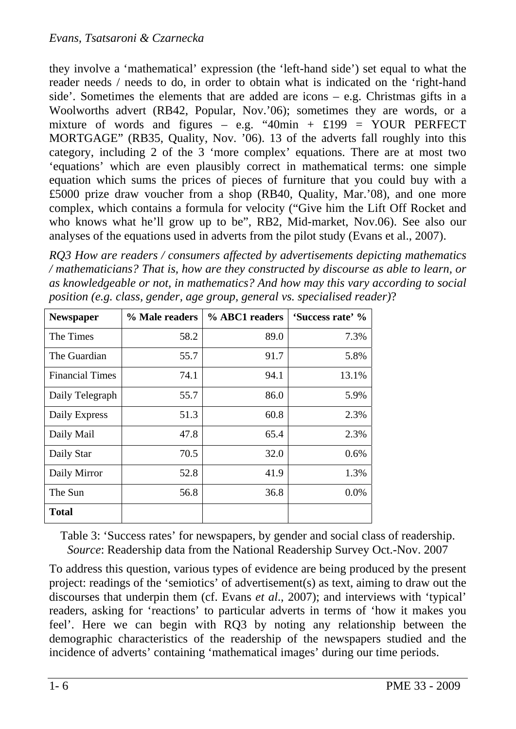they involve a 'mathematical' expression (the 'left-hand side') set equal to what the reader needs / needs to do, in order to obtain what is indicated on the 'right-hand side'. Sometimes the elements that are added are icons – e.g. Christmas gifts in a Woolworths advert (RB42, Popular, Nov.'06); sometimes they are words, or a mixture of words and figures – e.g. "40min +  $£199 = YOUR PERFECT$ MORTGAGE" (RB35, Quality, Nov. '06). 13 of the adverts fall roughly into this category, including 2 of the 3 'more complex' equations. There are at most two 'equations' which are even plausibly correct in mathematical terms: one simple equation which sums the prices of pieces of furniture that you could buy with a £5000 prize draw voucher from a shop (RB40, Quality, Mar.'08), and one more complex, which contains a formula for velocity ("Give him the Lift Off Rocket and who knows what he'll grow up to be", RB2, Mid-market, Nov.06). See also our analyses of the equations used in adverts from the pilot study (Evans et al., 2007).

*RQ3 How are readers / consumers affected by advertisements depicting mathematics / mathematicians? That is, how are they constructed by discourse as able to learn, or as knowledgeable or not, in mathematics? And how may this vary according to social position (e.g. class, gender, age group, general vs. specialised reader)*?

| <b>Newspaper</b>       | % Male readers | % ABC1 readers | 'Success rate' % |
|------------------------|----------------|----------------|------------------|
| The Times              | 58.2           | 89.0           | 7.3%             |
| The Guardian           | 55.7           | 91.7           | 5.8%             |
| <b>Financial Times</b> | 74.1           | 94.1           | 13.1%            |
| Daily Telegraph        | 55.7           | 86.0           | 5.9%             |
| Daily Express          | 51.3           | 60.8           | 2.3%             |
| Daily Mail             | 47.8           | 65.4           | 2.3%             |
| Daily Star             | 70.5           | 32.0           | 0.6%             |
| Daily Mirror           | 52.8           | 41.9           | 1.3%             |
| The Sun                | 56.8           | 36.8           | 0.0%             |
| <b>Total</b>           |                |                |                  |

Table 3: 'Success rates' for newspapers, by gender and social class of readership. *Source*: Readership data from the National Readership Survey Oct.-Nov. 2007

To address this question, various types of evidence are being produced by the present project: readings of the 'semiotics' of advertisement(s) as text, aiming to draw out the discourses that underpin them (cf. Evans *et al*., 2007); and interviews with 'typical' readers, asking for 'reactions' to particular adverts in terms of 'how it makes you feel'. Here we can begin with RQ3 by noting any relationship between the demographic characteristics of the readership of the newspapers studied and the incidence of adverts' containing 'mathematical images' during our time periods.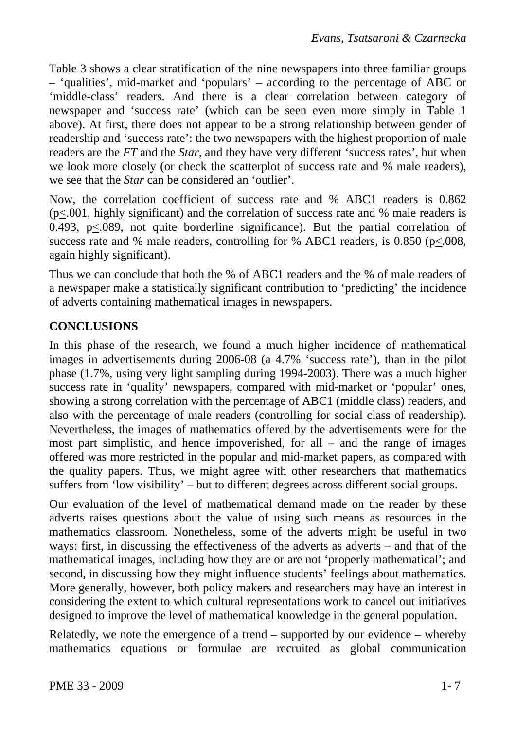Table 3 shows a clear stratification of the nine newspapers into three familiar groups – 'qualities', mid-market and 'populars' – according to the percentage of ABC or 'middle-class' readers. And there is a clear correlation between category of newspaper and 'success rate' (which can be seen even more simply in Table 1 above). At first, there does not appear to be a strong relationship between gender of readership and 'success rate': the two newspapers with the highest proportion of male readers are the *FT* and the *Star*, and they have very different 'success rates', but when we look more closely (or check the scatterplot of success rate and % male readers), we see that the *Star* can be considered an 'outlier'.

Now, the correlation coefficient of success rate and % ABC1 readers is 0.862 (p<.001, highly significant) and the correlation of success rate and % male readers is 0.493, p<.089, not quite borderline significance). But the partial correlation of success rate and % male readers, controlling for % ABC1 readers, is 0.850 (p<.008, again highly significant).

Thus we can conclude that both the % of ABC1 readers and the % of male readers of a newspaper make a statistically significant contribution to 'predicting' the incidence of adverts containing mathematical images in newspapers.

# **CONCLUSIONS**

In this phase of the research, we found a much higher incidence of mathematical images in advertisements during 2006-08 (a 4.7% 'success rate'), than in the pilot phase (1.7%, using very light sampling during 1994-2003). There was a much higher success rate in 'quality' newspapers, compared with mid-market or 'popular' ones, showing a strong correlation with the percentage of ABC1 (middle class) readers, and also with the percentage of male readers (controlling for social class of readership). Nevertheless, the images of mathematics offered by the advertisements were for the most part simplistic, and hence impoverished, for all – and the range of images offered was more restricted in the popular and mid-market papers, as compared with the quality papers. Thus, we might agree with other researchers that mathematics suffers from 'low visibility' – but to different degrees across different social groups.

Our evaluation of the level of mathematical demand made on the reader by these adverts raises questions about the value of using such means as resources in the mathematics classroom. Nonetheless, some of the adverts might be useful in two ways: first, in discussing the effectiveness of the adverts as adverts – and that of the mathematical images, including how they are or are not 'properly mathematical'; and second, in discussing how they might influence students' feelings about mathematics. More generally, however, both policy makers and researchers may have an interest in considering the extent to which cultural representations work to cancel out initiatives designed to improve the level of mathematical knowledge in the general population.

Relatedly, we note the emergence of a trend – supported by our evidence – whereby mathematics equations or formulae are recruited as global communication